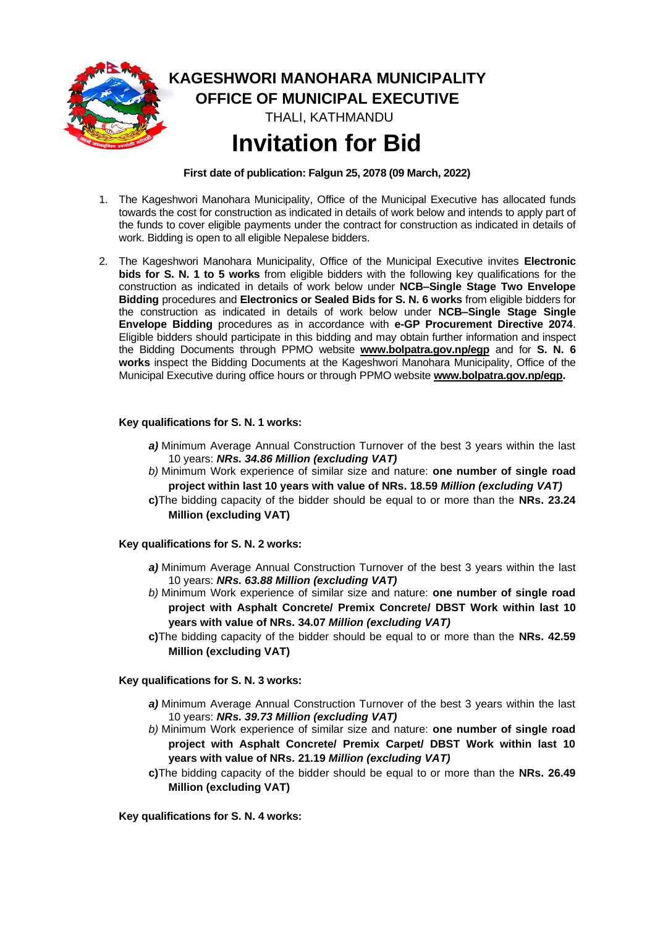

**KAGESHWORI MANOHARA MUNICIPALITY OFFICE OF MUNICIPAL EXECUTIVE** THALI, KATHMANDU **Invitation for Bid**

**First date of publication: Falgun 25, 2078 (09 March, 2022)**

- 1. The Kageshwori Manohara Municipality, Office of the Municipal Executive has allocated funds towards the cost for construction as indicated in details of work below and intends to apply part of the funds to cover eligible payments under the contract for construction as indicated in details of work. Bidding is open to all eligible Nepalese bidders.
- 2. The Kageshwori Manohara Municipality, Office of the Municipal Executive invites **Electronic bids for S. N. 1 to 5 works** from eligible bidders with the following key qualifications for the construction as indicated in details of work below under **NCB–Single Stage Two Envelope Bidding** procedures and **Electronics or Sealed Bids for S. N. 6 works** from eligible bidders for the construction as indicated in details of work below under **NCB–Single Stage Single Envelope Bidding** procedures as in accordance with **e-GP Procurement Directive 2074**. Eligible bidders should participate in this bidding and may obtain further information and inspect the Bidding Documents through PPMO website **[www.bolpatra.gov.np/egp](http://www.bolpatra.gov.np/egp)** and for **S. N. 6 works** inspect the Bidding Documents at the Kageshwori Manohara Municipality, Office of the Municipal Executive during office hours or through PPMO website **[www.bolpatra.gov.np/egp.](http://www.bolpatra.gov.np/egp)**

#### **Key qualifications for S. N. 1 works:**

- *a)* Minimum Average Annual Construction Turnover of the best 3 years within the last 10 years: *NRs. 34.86 Million (excluding VAT)*
- *b)* Minimum Work experience of similar size and nature: **one number of single road project within last 10 years with value of NRs. 18.59** *Million (excluding VAT)*
- **c)**The bidding capacity of the bidder should be equal to or more than the **NRs. 23.24 Million (excluding VAT)**

#### **Key qualifications for S. N. 2 works:**

- *a)* Minimum Average Annual Construction Turnover of the best 3 years within the last 10 years: *NRs. 63.88 Million (excluding VAT)*
- *b)* Minimum Work experience of similar size and nature: **one number of single road project with Asphalt Concrete/ Premix Concrete/ DBST Work within last 10 years with value of NRs. 34.07** *Million (excluding VAT)*
- **c)**The bidding capacity of the bidder should be equal to or more than the **NRs. 42.59 Million (excluding VAT)**

### **Key qualifications for S. N. 3 works:**

- *a)* Minimum Average Annual Construction Turnover of the best 3 years within the last 10 years: *NRs. 39.73 Million (excluding VAT)*
- *b)* Minimum Work experience of similar size and nature: **one number of single road project with Asphalt Concrete/ Premix Carpet/ DBST Work within last 10 years with value of NRs. 21.19** *Million (excluding VAT)*
- **c)**The bidding capacity of the bidder should be equal to or more than the **NRs. 26.49 Million (excluding VAT)**

**Key qualifications for S. N. 4 works:**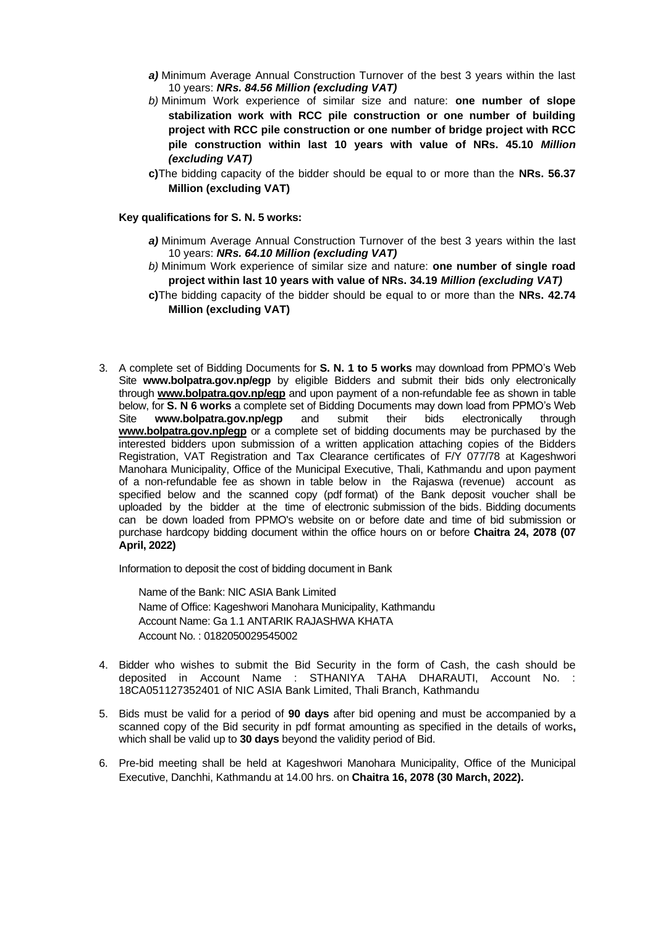- *a)* Minimum Average Annual Construction Turnover of the best 3 years within the last 10 years: *NRs. 84.56 Million (excluding VAT)*
- *b)* Minimum Work experience of similar size and nature: **one number of slope stabilization work with RCC pile construction or one number of building project with RCC pile construction or one number of bridge project with RCC pile construction within last 10 years with value of NRs. 45.10** *Million (excluding VAT)*
- **c)**The bidding capacity of the bidder should be equal to or more than the **NRs. 56.37 Million (excluding VAT)**

#### **Key qualifications for S. N. 5 works:**

- *a)* Minimum Average Annual Construction Turnover of the best 3 years within the last 10 years: *NRs. 64.10 Million (excluding VAT)*
- *b)* Minimum Work experience of similar size and nature: **one number of single road project within last 10 years with value of NRs. 34.19** *Million (excluding VAT)*
- **c)**The bidding capacity of the bidder should be equal to or more than the **NRs. 42.74 Million (excluding VAT)**
- 3. A complete set of Bidding Documents for **S. N. 1 to 5 works** may download from PPMO's Web Site **www.bolpatra.gov.np/egp** by eligible Bidders and submit their bids only electronically through **[www.bolpatra.gov.np/egp](http://www.bolpatra.gov.np/egp)** and upon payment of a non-refundable fee as shown in table below, for **S. N 6 works** a complete set of Bidding Documents may down load from PPMO's Web Site **www.bolpatra.gov.np/egp** and submit their bids electronically through **[www.bolpatra.gov.np/egp](http://www.bolpatra.gov.np/egp)** or a complete set of bidding documents may be purchased by the interested bidders upon submission of a written application attaching copies of the Bidders Registration, VAT Registration and Tax Clearance certificates of F/Y 077/78 at Kageshwori Manohara Municipality, Office of the Municipal Executive, Thali, Kathmandu and upon payment of a non-refundable fee as shown in table below in the Rajaswa (revenue) account as specified below and the scanned copy (pdf format) of the Bank deposit voucher shall be uploaded by the bidder at the time of electronic submission of the bids. Bidding documents can be down loaded from PPMO's website on or before date and time of bid submission or purchase hardcopy bidding document within the office hours on or before **Chaitra 24, 2078 (07 April, 2022)**

Information to deposit the cost of bidding document in Bank

Name of the Bank: NIC ASIA Bank Limited Name of Office: Kageshwori Manohara Municipality, Kathmandu Account Name: Ga 1.1 ANTARIK RAJASHWA KHATA Account No. : 0182050029545002

- 4. Bidder who wishes to submit the Bid Security in the form of Cash, the cash should be deposited in Account Name : STHANIYA TAHA DHARAUTI, Account No. : 18CA051127352401 of NIC ASIA Bank Limited, Thali Branch, Kathmandu
- 5. Bids must be valid for a period of **90 days** after bid opening and must be accompanied by a scanned copy of the Bid security in pdf format amounting as specified in the details of works**,** which shall be valid up to **30 days** beyond the validity period of Bid.
- 6. Pre-bid meeting shall be held at Kageshwori Manohara Municipality, Office of the Municipal Executive, Danchhi, Kathmandu at 14.00 hrs. on **Chaitra 16, 2078 (30 March, 2022).**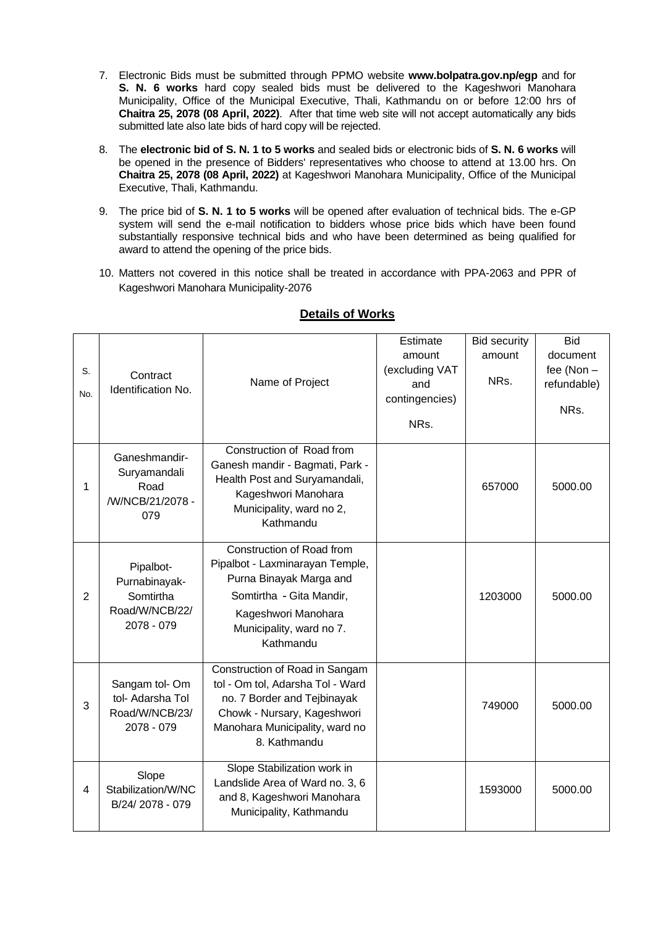- 7. Electronic Bids must be submitted through PPMO website **[www.bolpatra.gov.np/](http://www.bolpatra.gov.np/)egp** and for **S. N. 6 works** hard copy sealed bids must be delivered to the Kageshwori Manohara Municipality, Office of the Municipal Executive, Thali, Kathmandu on or before 12:00 hrs of **Chaitra 25, 2078 (08 April, 2022)**. After that time web site will not accept automatically any bids submitted late also late bids of hard copy will be rejected.
- 8. The **electronic bid of S. N. 1 to 5 works** and sealed bids or electronic bids of **S. N. 6 works** will be opened in the presence of Bidders' representatives who choose to attend at 13.00 hrs. On **Chaitra 25, 2078 (08 April, 2022)** at Kageshwori Manohara Municipality, Office of the Municipal Executive, Thali, Kathmandu.
- 9. The price bid of **S. N. 1 to 5 works** will be opened after evaluation of technical bids. The e-GP system will send the e-mail notification to bidders whose price bids which have been found substantially responsive technical bids and who have been determined as being qualified for award to attend the opening of the price bids.
- 10. Matters not covered in this notice shall be treated in accordance with PPA-2063 and PPR of Kageshwori Manohara Municipality-2076

| S.<br>No.      | Contract<br>Identification No.                                          | Name of Project                                                                                                                                                                     | Estimate<br>amount<br>(excluding VAT<br>and<br>contingencies)<br>NRs. | <b>Bid security</b><br>amount<br>NRs. | <b>Bid</b><br>document<br>fee (Non -<br>refundable)<br>NRs. |
|----------------|-------------------------------------------------------------------------|-------------------------------------------------------------------------------------------------------------------------------------------------------------------------------------|-----------------------------------------------------------------------|---------------------------------------|-------------------------------------------------------------|
| 1              | Ganeshmandir-<br>Suryamandali<br>Road<br>/W/NCB/21/2078 -<br>079        | Construction of Road from<br>Ganesh mandir - Bagmati, Park -<br>Health Post and Suryamandali,<br>Kageshwori Manohara<br>Municipality, ward no 2,<br>Kathmandu                       |                                                                       | 657000                                | 5000.00                                                     |
| $\overline{2}$ | Pipalbot-<br>Purnabinayak-<br>Somtirtha<br>Road/W/NCB/22/<br>2078 - 079 | Construction of Road from<br>Pipalbot - Laxminarayan Temple,<br>Purna Binayak Marga and<br>Somtirtha - Gita Mandir,<br>Kageshwori Manohara<br>Municipality, ward no 7.<br>Kathmandu |                                                                       | 1203000                               | 5000.00                                                     |
| 3              | Sangam tol-Om<br>tol- Adarsha Tol<br>Road/W/NCB/23/<br>2078 - 079       | Construction of Road in Sangam<br>tol - Om tol, Adarsha Tol - Ward<br>no. 7 Border and Tejbinayak<br>Chowk - Nursary, Kageshwori<br>Manohara Municipality, ward no<br>8. Kathmandu  |                                                                       | 749000                                | 5000.00                                                     |
| 4              | Slope<br>Stabilization/W/NC<br>B/24/2078 - 079                          | Slope Stabilization work in<br>Landslide Area of Ward no. 3, 6<br>and 8, Kageshwori Manohara<br>Municipality, Kathmandu                                                             |                                                                       | 1593000                               | 5000.00                                                     |

## **Details of Works**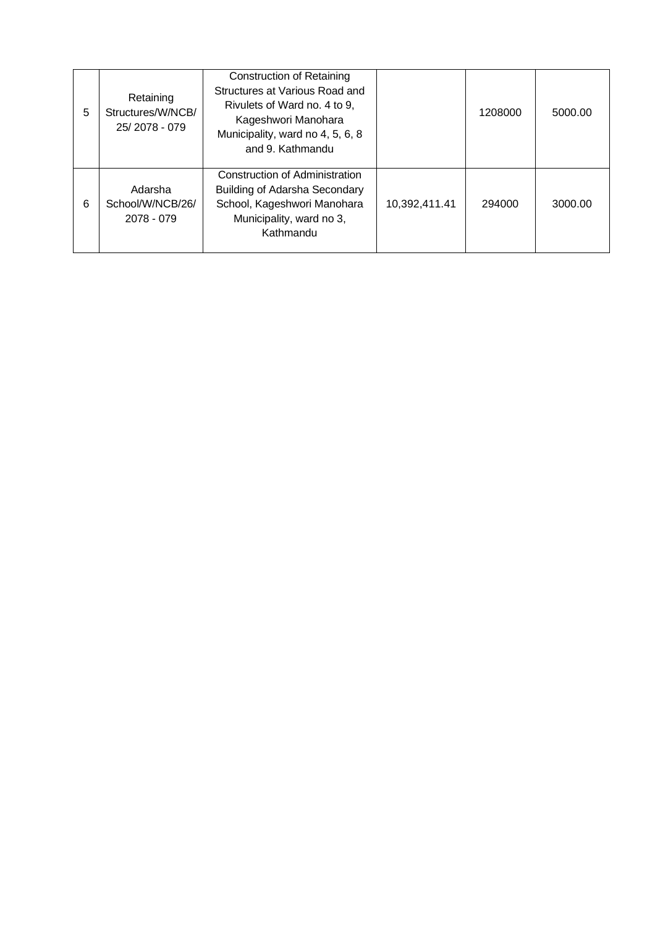| 5 | Retaining<br>Structures/W/NCB/<br>25/2078 - 079 | <b>Construction of Retaining</b><br>Structures at Various Road and<br>Rivulets of Ward no. 4 to 9,<br>Kageshwori Manohara<br>Municipality, ward no 4, 5, 6, 8<br>and 9. Kathmandu |               | 1208000 | 5000.00 |
|---|-------------------------------------------------|-----------------------------------------------------------------------------------------------------------------------------------------------------------------------------------|---------------|---------|---------|
| 6 | Adarsha<br>School/W/NCB/26/<br>2078 - 079       | Construction of Administration<br><b>Building of Adarsha Secondary</b><br>School, Kageshwori Manohara<br>Municipality, ward no 3,<br>Kathmandu                                    | 10,392,411.41 | 294000  | 3000.00 |